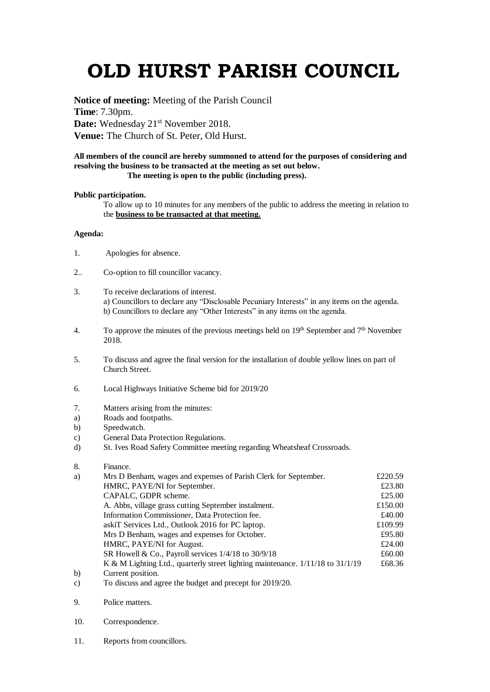# **OLD HURST PARISH COUNCIL**

**Notice of meeting:** Meeting of the Parish Council **Time**: 7.30pm. Date: Wednesday 21<sup>st</sup> November 2018. **Venue:** The Church of St. Peter, Old Hurst.

#### **All members of the council are hereby summoned to attend for the purposes of considering and resolving the business to be transacted at the meeting as set out below. The meeting is open to the public (including press).**

### **Public participation.**

To allow up to 10 minutes for any members of the public to address the meeting in relation to the **business to be transacted at that meeting.** 

## **Agenda:**

- 1. Apologies for absence.
- 2.. Co-option to fill councillor vacancy.
- 3. To receive declarations of interest. a) Councillors to declare any "Disclosable Pecuniary Interests" in any items on the agenda. b) Councillors to declare any "Other Interests" in any items on the agenda.
- 4. To approve the minutes of the previous meetings held on  $19<sup>th</sup>$  September and  $7<sup>th</sup>$  November 2018.
- 5. To discuss and agree the final version for the installation of double yellow lines on part of Church Street.
- 6. Local Highways Initiative Scheme bid for 2019/20
- 7. Matters arising from the minutes:
- a) Roads and footpaths.
- b) Speedwatch.
- c) General Data Protection Regulations.
- d) St. Ives Road Safety Committee meeting regarding Wheatsheaf Crossroads.

### 8. Finance.

| a)     | Mrs D Benham, wages and expenses of Parish Clerk for September.                | £220.59 |
|--------|--------------------------------------------------------------------------------|---------|
|        | HMRC, PAYE/NI for September.                                                   | £23.80  |
|        | CAPALC, GDPR scheme.                                                           | £25.00  |
|        | A. Abbs, village grass cutting September instalment.                           | £150.00 |
|        | Information Commissioner, Data Protection fee.                                 | £40.00  |
|        | askiT Services Ltd., Outlook 2016 for PC laptop.                               | £109.99 |
|        | Mrs D Benham, wages and expenses for October.                                  | £95.80  |
|        | HMRC, PAYE/NI for August.                                                      | £24.00  |
|        | SR Howell & Co., Payroll services $1/4/18$ to $30/9/18$                        | £60.00  |
|        | K & M Lighting Ltd., quarterly street lighting maintenance. 1/11/18 to 31/1/19 | £68.36  |
| b)     | Current position.                                                              |         |
| $\sim$ | The discussed and agreed the leaderst and more cost $f_{\alpha\beta}$ 0010/00  |         |

- c) To discuss and agree the budget and precept for 2019/20.
- 9. Police matters.
- 10. Correspondence.
- 11. Reports from councillors.